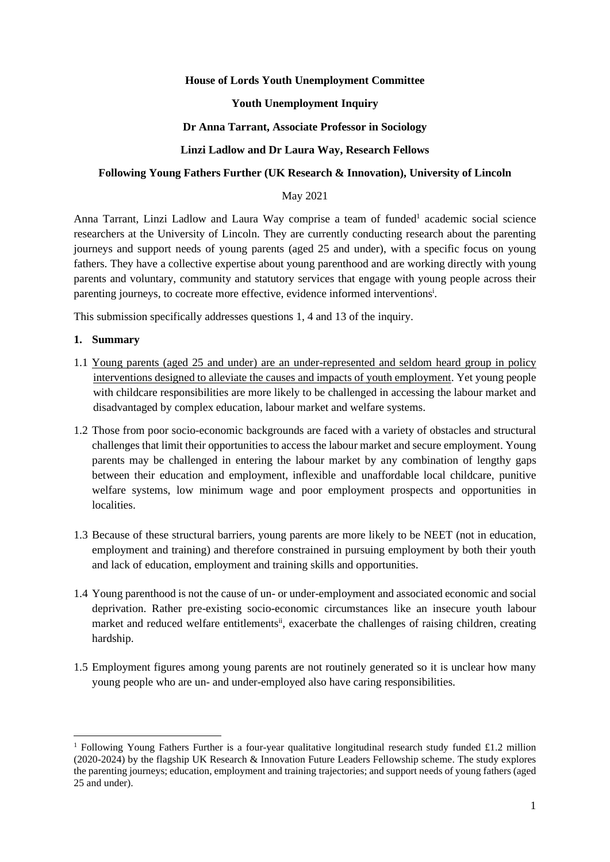## **House of Lords Youth Unemployment Committee**

## **Youth Unemployment Inquiry**

## **Dr Anna Tarrant, Associate Professor in Sociology**

## **Linzi Ladlow and Dr Laura Way, Research Fellows**

## **Following Young Fathers Further (UK Research & Innovation), University of Lincoln**

## May 2021

Anna Tarrant, Linzi Ladlow and Laura Way comprise a team of funded<sup>1</sup> academic social science researchers at the University of Lincoln. They are currently conducting research about the parenting journeys and support needs of young parents (aged 25 and under), with a specific focus on young fathers. They have a collective expertise about young parenthood and are working directly with young parents and voluntary, community and statutory services that engage with young people across their parenting journeys, to cocreate more effective, evidence informed interventions<sup>i</sup>.

This submission specifically addresses questions 1, 4 and 13 of the inquiry.

## **1. Summary**

- 1.1 Young parents (aged 25 and under) are an under-represented and seldom heard group in policy interventions designed to alleviate the causes and impacts of youth employment. Yet young people with childcare responsibilities are more likely to be challenged in accessing the labour market and disadvantaged by complex education, labour market and welfare systems.
- 1.2 Those from poor socio-economic backgrounds are faced with a variety of obstacles and structural challenges that limit their opportunities to access the labour market and secure employment. Young parents may be challenged in entering the labour market by any combination of lengthy gaps between their education and employment, inflexible and unaffordable local childcare, punitive welfare systems, low minimum wage and poor employment prospects and opportunities in localities.
- 1.3 Because of these structural barriers, young parents are more likely to be NEET (not in education, employment and training) and therefore constrained in pursuing employment by both their youth and lack of education, employment and training skills and opportunities.
- 1.4 Young parenthood is not the cause of un- or under-employment and associated economic and social deprivation. Rather pre-existing socio-economic circumstances like an insecure youth labour market and reduced welfare entitlements<sup>ii</sup>, exacerbate the challenges of raising children, creating hardship.
- 1.5 Employment figures among young parents are not routinely generated so it is unclear how many young people who are un- and under-employed also have caring responsibilities.

<sup>&</sup>lt;sup>1</sup> Following Young Fathers Further is a four-year qualitative longitudinal research study funded £1.2 million (2020-2024) by the flagship UK Research & Innovation Future Leaders Fellowship scheme. The study explores the parenting journeys; education, employment and training trajectories; and support needs of young fathers (aged 25 and under).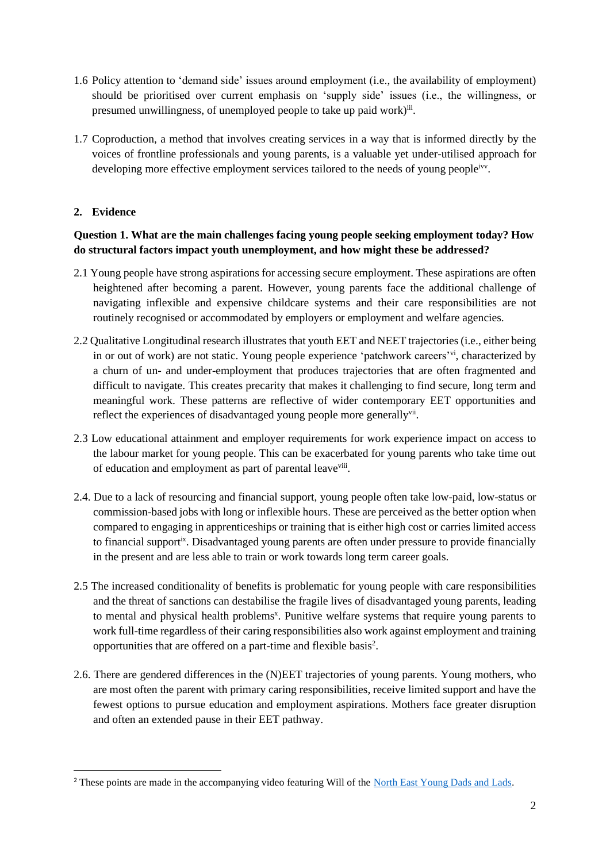- 1.6 Policy attention to 'demand side' issues around employment (i.e., the availability of employment) should be prioritised over current emphasis on 'supply side' issues (i.e., the willingness, or presumed unwillingness, of unemployed people to take up paid work)<sup>iii</sup>.
- 1.7 Coproduction, a method that involves creating services in a way that is informed directly by the voices of frontline professionals and young parents, is a valuable yet under-utilised approach for developing more effective employment services tailored to the needs of young peopleivy.

## **2. Evidence**

## **Question 1. What are the main challenges facing young people seeking employment today? How do structural factors impact youth unemployment, and how might these be addressed?**

- 2.1 Young people have strong aspirations for accessing secure employment. These aspirations are often heightened after becoming a parent. However, young parents face the additional challenge of navigating inflexible and expensive childcare systems and their care responsibilities are not routinely recognised or accommodated by employers or employment and welfare agencies.
- 2.2 Qualitative Longitudinal research illustrates that youth EET and NEET trajectories (i.e., either being in or out of work) are not static. Young people experience 'patchwork careers'vi, characterized by a churn of un- and under-employment that produces trajectories that are often fragmented and difficult to navigate. This creates precarity that makes it challenging to find secure, long term and meaningful work. These patterns are reflective of wider contemporary EET opportunities and reflect the experiences of disadvantaged young people more generallyvii.
- 2.3 Low educational attainment and employer requirements for work experience impact on access to the labour market for young people. This can be exacerbated for young parents who take time out of education and employment as part of parental leave<sup>viii</sup>.
- 2.4. Due to a lack of resourcing and financial support, young people often take low-paid, low-status or commission-based jobs with long or inflexible hours. These are perceived as the better option when compared to engaging in apprenticeships or training that is either high cost or carries limited access to financial support<sup>ix</sup>. Disadvantaged young parents are often under pressure to provide financially in the present and are less able to train or work towards long term career goals.
- 2.5 The increased conditionality of benefits is problematic for young people with care responsibilities and the threat of sanctions can destabilise the fragile lives of disadvantaged young parents, leading to mental and physical health problems<sup>x</sup>. Punitive welfare systems that require young parents to work full-time regardless of their caring responsibilities also work against employment and training opportunities that are offered on a part-time and flexible basis<sup>2</sup>.
- 2.6. There are gendered differences in the (N)EET trajectories of young parents. Young mothers, who are most often the parent with primary caring responsibilities, receive limited support and have the fewest options to pursue education and employment aspirations. Mothers face greater disruption and often an extended pause in their EET pathway.

<sup>&</sup>lt;sup>2</sup> These points are made in the accompanying video featuring Will of the [North East Young Dads and Lads.](https://www.neydl.uk/)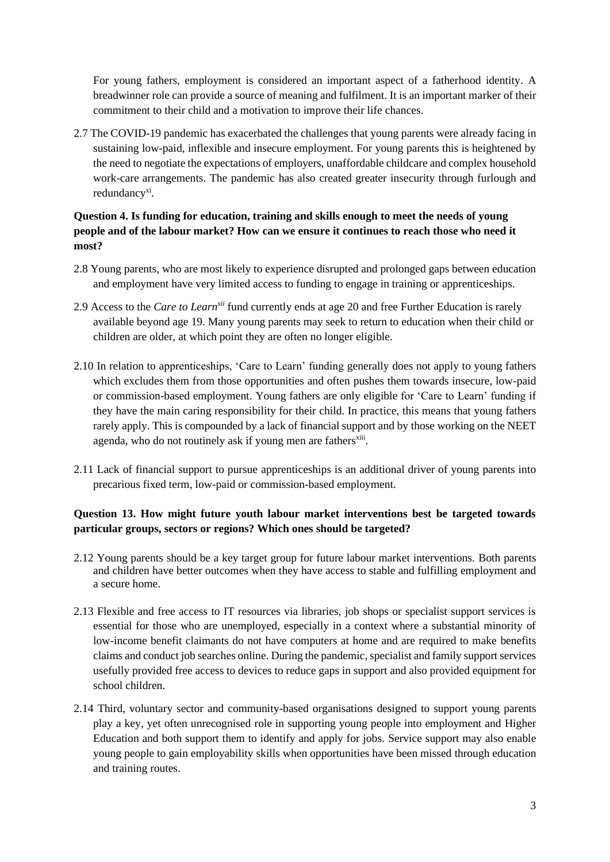For young fathers, employment is considered an important aspect of a fatherhood identity. A breadwinner role can provide a source of meaning and fulfilment. It is an important marker of their commitment to their child and a motivation to improve their life chances.

2.7 The COVID-19 pandemic has exacerbated the challenges that young parents were already facing in sustaining low-paid, inflexible and insecure employment. For young parents this is heightened by the need to negotiate the expectations of employers, unaffordable childcare and complex household work-care arrangements. The pandemic has also created greater insecurity through furlough and redundancy<sup>xi</sup>.

# **Question 4. Is funding for education, training and skills enough to meet the needs of young people and of the labour market? How can we ensure it continues to reach those who need it most?**

- 2.8 Young parents, who are most likely to experience disrupted and prolonged gaps between education and employment have very limited access to funding to engage in training or apprenticeships.
- 2.9 Access to the *Care to Learnxii* fund currently ends at age 20 and free Further Education is rarely available beyond age 19. Many young parents may seek to return to education when their child or children are older, at which point they are often no longer eligible.
- 2.10 In relation to apprenticeships, 'Care to Learn' funding generally does not apply to young fathers which excludes them from those opportunities and often pushes them towards insecure, low-paid or commission-based employment. Young fathers are only eligible for 'Care to Learn' funding if they have the main caring responsibility for their child. In practice, this means that young fathers rarely apply. This is compounded by a lack of financial support and by those working on the NEET agenda, who do not routinely ask if young men are fathers<sup>xiii</sup>.
- 2.11 Lack of financial support to pursue apprenticeships is an additional driver of young parents into precarious fixed term, low-paid or commission-based employment.

# **Question 13. How might future youth labour market interventions best be targeted towards particular groups, sectors or regions? Which ones should be targeted?**

- 2.12 Young parents should be a key target group for future labour market interventions. Both parents and children have better outcomes when they have access to stable and fulfilling employment and a secure home.
- 2.13 Flexible and free access to IT resources via libraries, job shops or specialist support services is essential for those who are unemployed, especially in a context where a substantial minority of low-income benefit claimants do not have computers at home and are required to make benefits claims and conduct job searches online. During the pandemic, specialist and family support services usefully provided free access to devices to reduce gaps in support and also provided equipment for school children.
- 2.14 Third, voluntary sector and community-based organisations designed to support young parents play a key, yet often unrecognised role in supporting young people into employment and Higher Education and both support them to identify and apply for jobs. Service support may also enable young people to gain employability skills when opportunities have been missed through education and training routes.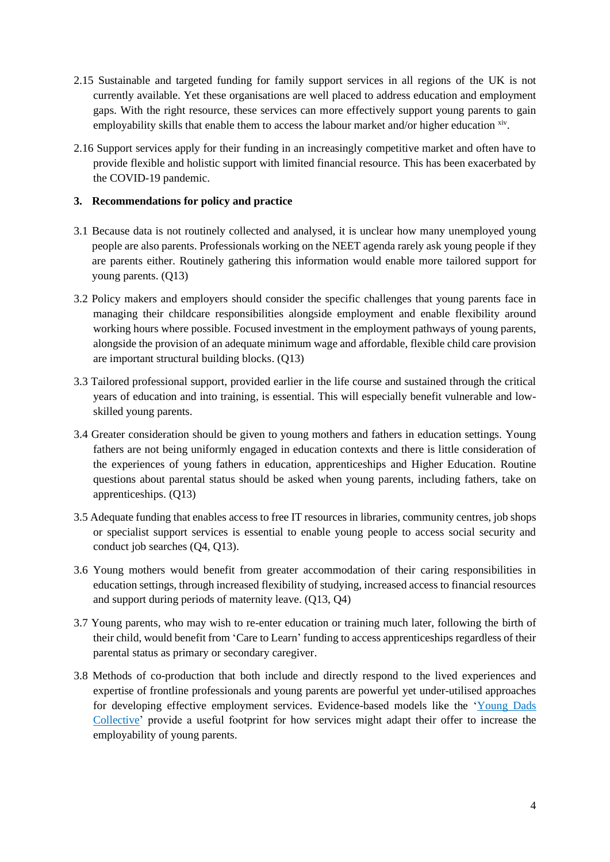- 2.15 Sustainable and targeted funding for family support services in all regions of the UK is not currently available. Yet these organisations are well placed to address education and employment gaps. With the right resource, these services can more effectively support young parents to gain employability skills that enable them to access the labour market and/or higher education xiv.
- 2.16 Support services apply for their funding in an increasingly competitive market and often have to provide flexible and holistic support with limited financial resource. This has been exacerbated by the COVID-19 pandemic.

## **3. Recommendations for policy and practice**

- 3.1 Because data is not routinely collected and analysed, it is unclear how many unemployed young people are also parents. Professionals working on the NEET agenda rarely ask young people if they are parents either. Routinely gathering this information would enable more tailored support for young parents. (Q13)
- 3.2 Policy makers and employers should consider the specific challenges that young parents face in managing their childcare responsibilities alongside employment and enable flexibility around working hours where possible. Focused investment in the employment pathways of young parents, alongside the provision of an adequate minimum wage and affordable, flexible child care provision are important structural building blocks. (Q13)
- 3.3 Tailored professional support, provided earlier in the life course and sustained through the critical years of education and into training, is essential. This will especially benefit vulnerable and lowskilled young parents.
- 3.4 Greater consideration should be given to young mothers and fathers in education settings. Young fathers are not being uniformly engaged in education contexts and there is little consideration of the experiences of young fathers in education, apprenticeships and Higher Education. Routine questions about parental status should be asked when young parents, including fathers, take on apprenticeships. (Q13)
- 3.5 Adequate funding that enables access to free IT resources in libraries, community centres, job shops or specialist support services is essential to enable young people to access social security and conduct job searches (Q4, Q13).
- 3.6 Young mothers would benefit from greater accommodation of their caring responsibilities in education settings, through increased flexibility of studying, increased access to financial resources and support during periods of maternity leave. (Q13, Q4)
- 3.7 Young parents, who may wish to re-enter education or training much later, following the birth of their child, would benefit from 'Care to Learn' funding to access apprenticeships regardless of their parental status as primary or secondary caregiver.
- 3.8 Methods of co-production that both include and directly respond to the lived experiences and expertise of frontline professionals and young parents are powerful yet under-utilised approaches for developing effective employment services. Evidence-based models like the ['Young Dads](https://www.familyandchildcaretrust.org/young-dads-collective)  [Collective'](https://www.familyandchildcaretrust.org/young-dads-collective) provide a useful footprint for how services might adapt their offer to increase the employability of young parents.